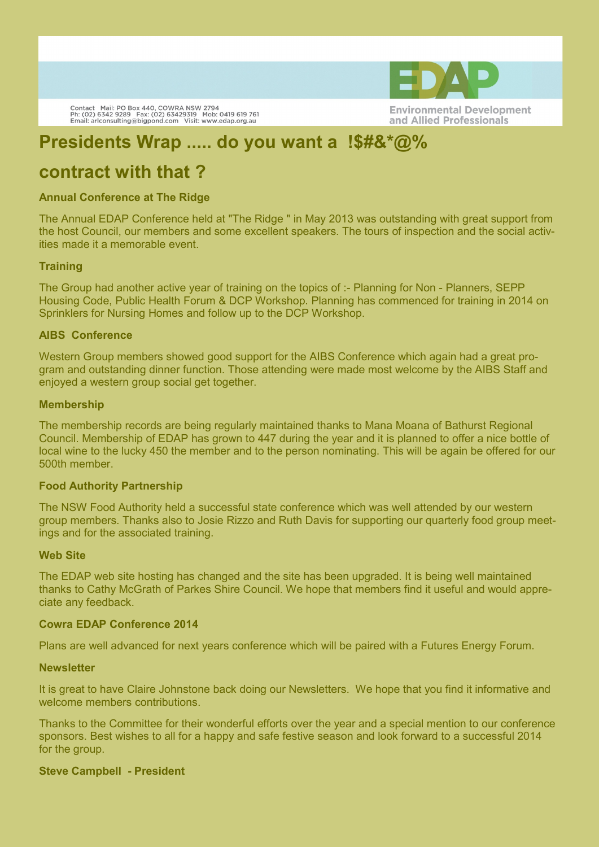

## **Presidents Wrap ..... do you want a !\$#&\*@%**

## **contract with that ?**

Contact Mail: PO Box 440, COWRA NSW 2794<br>Ph: (02) 6342 9289 Fax: (02) 63429319 Mob: 0419 619 761<br>Email: arlconsulting@bigpond.com Visit: www.edap.org.au

### **Annual Conference at The Ridge**

The Annual EDAP Conference held at "The Ridge " in May 2013 was outstanding with great support from the host Council, our members and some excellent speakers. The tours of inspection and the social activities made it a memorable event.

#### **Training**

The Group had another active year of training on the topics of :- Planning for Non - Planners, SEPP Housing Code, Public Health Forum & DCP Workshop. Planning has commenced for training in 2014 on Sprinklers for Nursing Homes and follow up to the DCP Workshop.

#### **AIBS Conference**

Western Group members showed good support for the AIBS Conference which again had a great program and outstanding dinner function. Those attending were made most welcome by the AIBS Staff and enjoyed a western group social get together.

#### **Membership**

The membership records are being regularly maintained thanks to Mana Moana of Bathurst Regional Council. Membership of EDAP has grown to 447 during the year and it is planned to offer a nice bottle of local wine to the lucky 450 the member and to the person nominating. This will be again be offered for our 500th member.

#### **Food Authority Partnership**

The NSW Food Authority held a successful state conference which was well attended by our western group members. Thanks also to Josie Rizzo and Ruth Davis for supporting our quarterly food group meetings and for the associated training.

#### **Web Site**

The EDAP web site hosting has changed and the site has been upgraded. It is being well maintained thanks to Cathy McGrath of Parkes Shire Council. We hope that members find it useful and would appreciate any feedback.

#### **Cowra EDAP Conference 2014**

Plans are well advanced for next years conference which will be paired with a Futures Energy Forum.

#### **Newsletter**

It is great to have Claire Johnstone back doing our Newsletters. We hope that you find it informative and welcome members contributions.

Thanks to the Committee for their wonderful efforts over the year and a special mention to our conference sponsors. Best wishes to all for a happy and safe festive season and look forward to a successful 2014 for the group.

#### **Steve Campbell - President**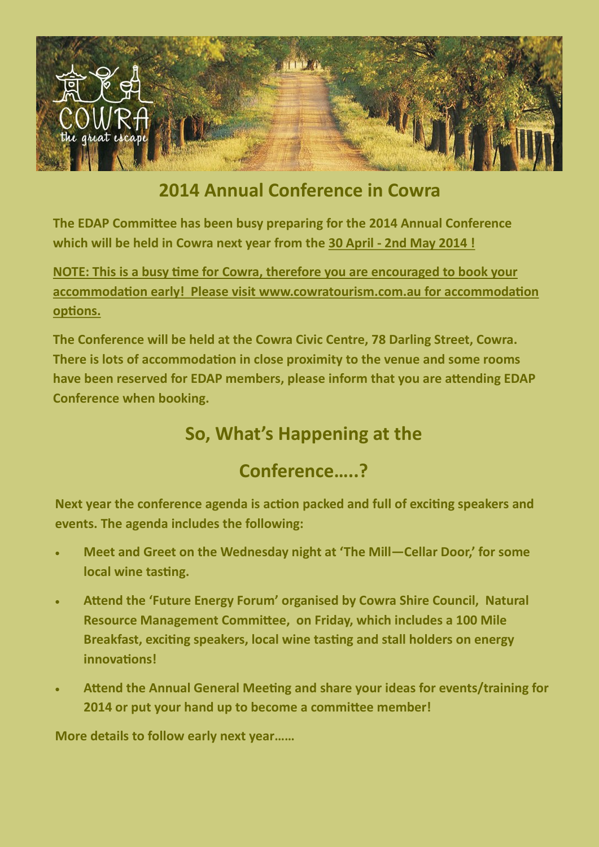

## **2014 Annual Conference in Cowra**

**The EDAP Committee has been busy preparing for the 2014 Annual Conference which will be held in Cowra next year from the 30 April - 2nd May 2014 !**

**NOTE: This is a busy time for Cowra, therefore you are encouraged to book your accommodation early! Please visit www.cowratourism.com.au for accommodation options.** 

**The Conference will be held at the Cowra Civic Centre, 78 Darling Street, Cowra. There is lots of accommodation in close proximity to the venue and some rooms have been reserved for EDAP members, please inform that you are attending EDAP Conference when booking.** 

## **So, What's Happening at the**

## **Conference…..?**

**Next year the conference agenda is action packed and full of exciting speakers and events. The agenda includes the following:**

- **Meet and Greet on the Wednesday night at 'The Mill—Cellar Door,' for some local wine tasting.**
- **Attend the 'Future Energy Forum' organised by Cowra Shire Council, Natural Resource Management Committee, on Friday, which includes a 100 Mile Breakfast, exciting speakers, local wine tasting and stall holders on energy innovations!**
- **Attend the Annual General Meeting and share your ideas for events/training for 2014 or put your hand up to become a committee member!**

**More details to follow early next year……**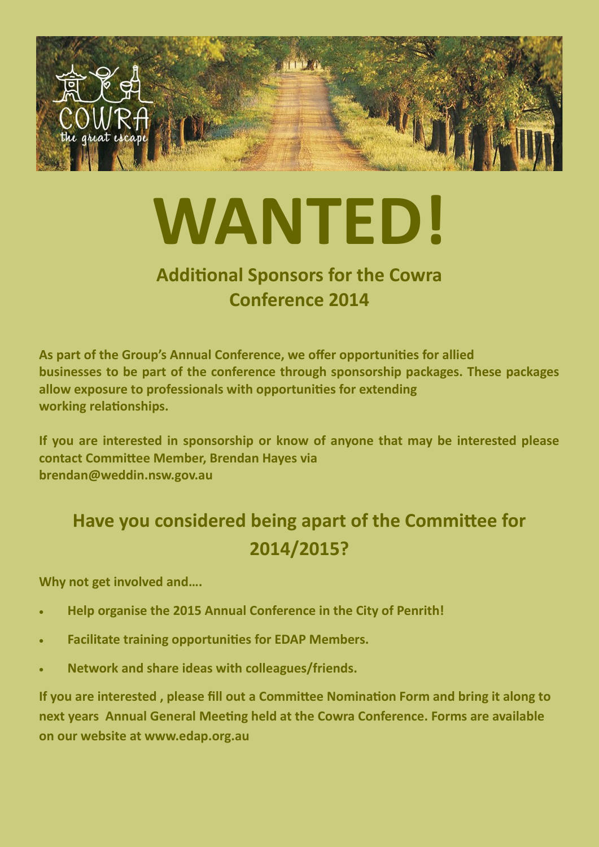

# **WANTED!**

## **Additional Sponsors for the Cowra Conference 2014**

**As part of the Group's Annual Conference, we offer opportunities for allied businesses to be part of the conference through sponsorship packages. These packages allow exposure to professionals with opportunities for extending working relationships.** 

**If you are interested in sponsorship or know of anyone that may be interested please contact Committee Member, Brendan Hayes via brendan@weddin.nsw.gov.au** 

## **Have you considered being apart of the Committee for 2014/2015?**

**Why not get involved and….** 

- **Help organise the 2015 Annual Conference in the City of Penrith!**
- **Facilitate training opportunities for EDAP Members.**
- **Network and share ideas with colleagues/friends.**

**If you are interested , please fill out a Committee Nomination Form and bring it along to next years Annual General Meeting held at the Cowra Conference. Forms are available on our website at www.edap.org.au**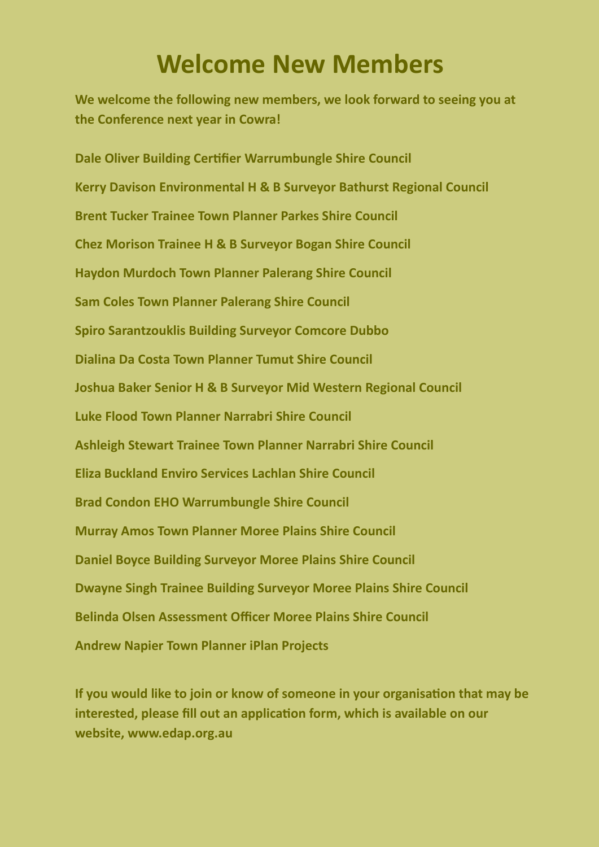# **Welcome New Members**

**We welcome the following new members, we look forward to seeing you at the Conference next year in Cowra!**

**Dale Oliver Building Certifier Warrumbungle Shire Council Kerry Davison Environmental H & B Surveyor Bathurst Regional Council Brent Tucker Trainee Town Planner Parkes Shire Council Chez Morison Trainee H & B Surveyor Bogan Shire Council Haydon Murdoch Town Planner Palerang Shire Council Sam Coles Town Planner Palerang Shire Council Spiro Sarantzouklis Building Surveyor Comcore Dubbo Dialina Da Costa Town Planner Tumut Shire Council Joshua Baker Senior H & B Surveyor Mid Western Regional Council Luke Flood Town Planner Narrabri Shire Council Ashleigh Stewart Trainee Town Planner Narrabri Shire Council Eliza Buckland Enviro Services Lachlan Shire Council Brad Condon EHO Warrumbungle Shire Council Murray Amos Town Planner Moree Plains Shire Council Daniel Boyce Building Surveyor Moree Plains Shire Council Dwayne Singh Trainee Building Surveyor Moree Plains Shire Council Belinda Olsen Assessment Officer Moree Plains Shire Council Andrew Napier Town Planner iPlan Projects**

**If you would like to join or know of someone in your organisation that may be interested, please fill out an application form, which is available on our website, www.edap.org.au**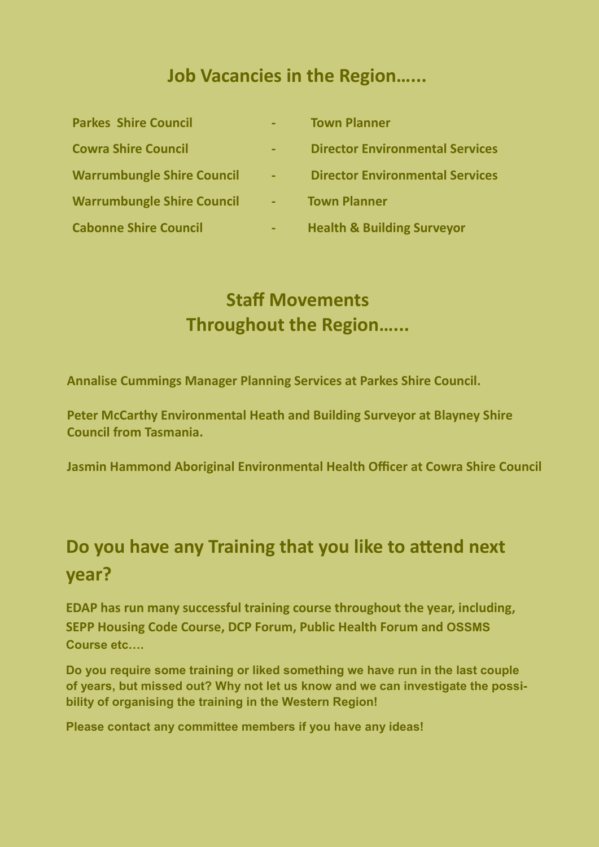## **Job Vacancies in the Region…...**

**Parkes Shire Council - Town Planner**

- 
- 
- **Warrumbungle Shire Council - Town Planner**
- 
- 
- **Cowra Shire Council - Director Environmental Services**
- **Warrumbungle Shire Council - Director Environmental Services**
	-
- **Cabonne Shire Council - Health & Building Surveyor**

## **Staff Movements Throughout the Region…...**

**Annalise Cummings Manager Planning Services at Parkes Shire Council.** 

**Peter McCarthy Environmental Heath and Building Surveyor at Blayney Shire Council from Tasmania.** 

**Jasmin Hammond Aboriginal Environmental Health Officer at Cowra Shire Council**

## **Do you have any Training that you like to attend next year?**

**EDAP has run many successful training course throughout the year, including, SEPP Housing Code Course, DCP Forum, Public Health Forum and OSSMS Course etc….** 

**Do you require some training or liked something we have run in the last couple of years, but missed out? Why not let us know and we can investigate the possibility of organising the training in the Western Region!** 

**Please contact any committee members if you have any ideas!**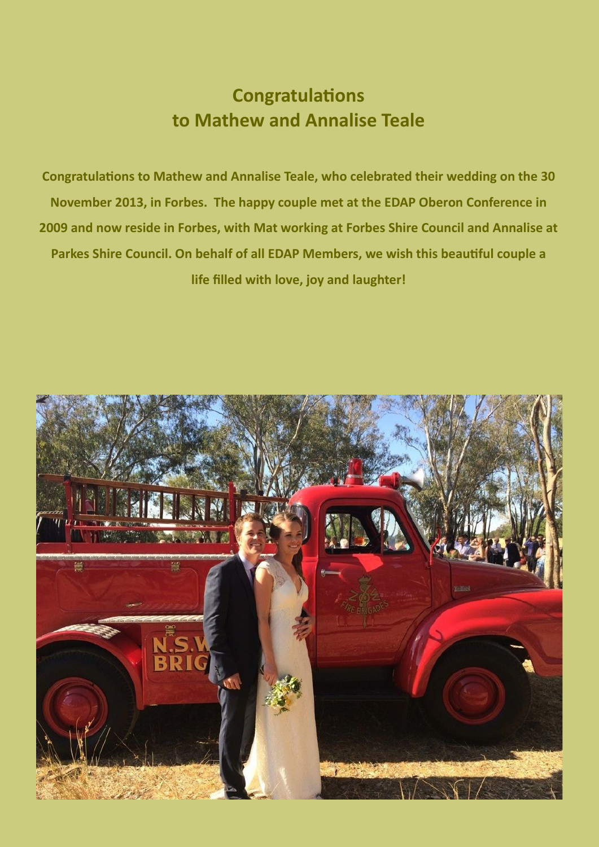## **Congratulations to Mathew and Annalise Teale**

**Congratulations to Mathew and Annalise Teale, who celebrated their wedding on the 30 November 2013, in Forbes. The happy couple met at the EDAP Oberon Conference in 2009 and now reside in Forbes, with Mat working at Forbes Shire Council and Annalise at Parkes Shire Council. On behalf of all EDAP Members, we wish this beautiful couple a life filled with love, joy and laughter!** 

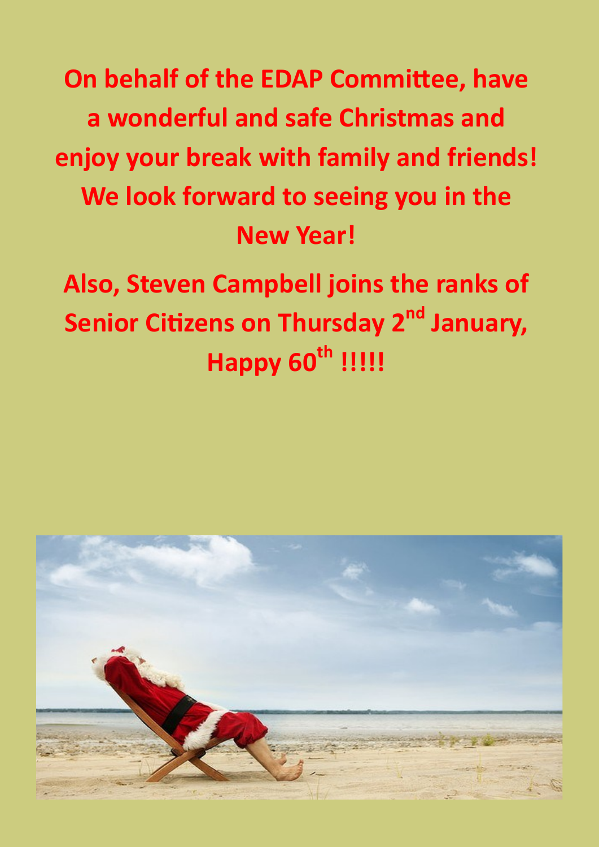**On behalf of the EDAP Committee, have a wonderful and safe Christmas and enjoy your break with family and friends! We look forward to seeing you in the New Year!** 

**Also, Steven Campbell joins the ranks of Senior Citizens on Thursday 2nd January, Happy 60th !!!!!**